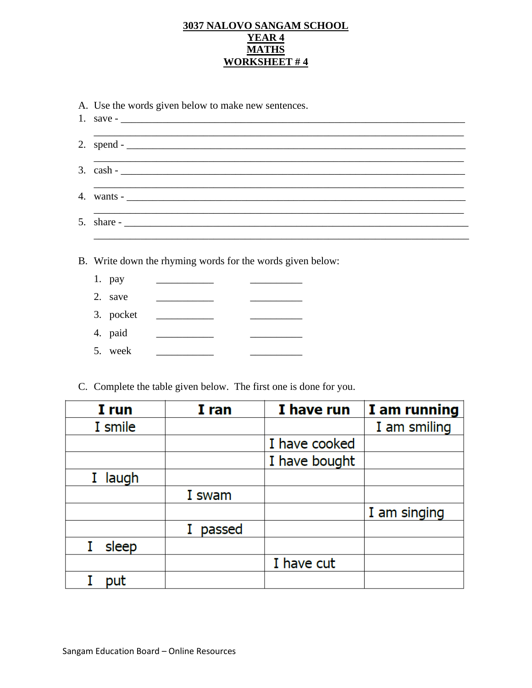### 3037 NALOVO SANGAM SCHOOL YEAR 4 **MATHS WORKSHEET #4**

| 3. $\cosh -$ |                                                            |  |  |  |
|--------------|------------------------------------------------------------|--|--|--|
|              | wants $\sim$                                               |  |  |  |
| 5.           |                                                            |  |  |  |
|              | B. Write down the rhyming words for the words given below: |  |  |  |
| 1. pay       |                                                            |  |  |  |
| 2. save      | the control of the control of the                          |  |  |  |
| 3. pocket    |                                                            |  |  |  |
| 4. paid      | <u> 1989 - Johann Barnett, fransk politiker</u>            |  |  |  |

| I run      | I ran  | I have run    | I am running |
|------------|--------|---------------|--------------|
| I smile    |        |               | I am smiling |
|            |        | I have cooked |              |
|            |        | I have bought |              |
| laugh<br>L |        |               |              |
|            | I swam |               |              |
|            |        |               | I am singing |
|            | passed |               |              |
| sleep      |        |               |              |
|            |        | I have cut    |              |
| put        |        |               |              |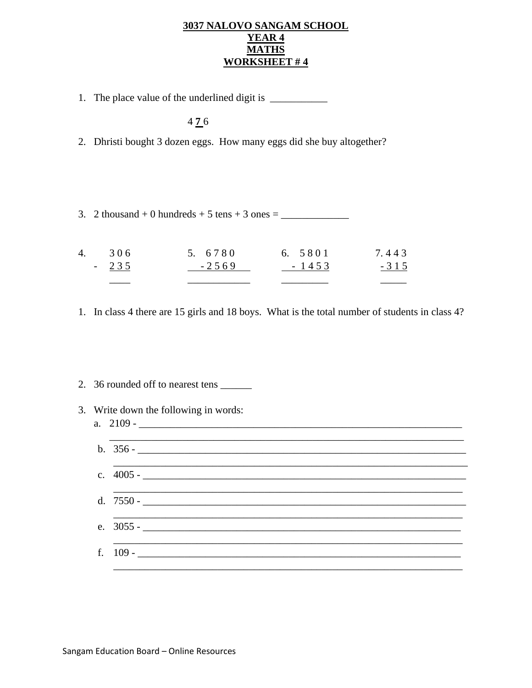#### **3037 NALOVO SANGAM SCHOOL YEAR 4 MATHS WORKSHEET # 4**

1. The place value of the underlined digit is \_\_\_\_\_\_\_\_\_\_\_

4 **7** 6

- 2. Dhristi bought 3 dozen eggs. How many eggs did she buy altogether?
- 3. 2 thousand + 0 hundreds + 5 tens + 3 ones =  $\frac{1}{2}$

| $-235$ | $-2569$ | $-1453$ | $-315$ |
|--------|---------|---------|--------|
| 4. 306 | 5. 6780 | 6. 5801 | 7.443  |

- 1. In class 4 there are 15 girls and 18 boys. What is the total number of students in class 4?
- 2. 36 rounded off to nearest tens \_\_\_\_\_\_
- 3. Write down the following in words:
	- a.  $2109 -$ \_\_\_\_\_\_\_\_\_\_\_\_\_\_\_\_\_\_\_\_\_\_\_\_\_\_\_\_\_\_\_\_\_\_\_\_\_\_\_\_\_\_\_\_\_\_\_\_\_\_\_\_\_\_\_\_\_\_\_\_\_\_\_\_\_\_\_\_ b.  $356 \mathcal{L}_\text{max} = \mathcal{L}_\text{max} = \mathcal{L}_\text{max} = \mathcal{L}_\text{max} = \mathcal{L}_\text{max} = \mathcal{L}_\text{max} = \mathcal{L}_\text{max} = \mathcal{L}_\text{max} = \mathcal{L}_\text{max} = \mathcal{L}_\text{max} = \mathcal{L}_\text{max} = \mathcal{L}_\text{max} = \mathcal{L}_\text{max} = \mathcal{L}_\text{max} = \mathcal{L}_\text{max} = \mathcal{L}_\text{max} = \mathcal{L}_\text{max} = \mathcal{L}_\text{max} = \mathcal{$ c.  $4005 \frac{1}{2000}$ \_\_\_\_\_\_\_\_\_\_\_\_\_\_\_\_\_\_\_\_\_\_\_\_\_\_\_\_\_\_\_\_\_\_\_\_\_\_\_\_\_\_\_\_\_\_\_\_\_\_\_\_\_\_\_\_\_\_\_\_\_\_\_\_\_\_\_ d.  $7550$ e. 3055 - \_\_\_\_\_\_\_\_\_\_\_\_\_\_\_\_\_\_\_\_\_\_\_\_\_\_\_\_\_\_\_\_\_\_\_\_\_\_\_\_\_\_\_\_\_\_\_\_\_\_\_\_\_\_\_\_\_\_\_\_\_  $\mathcal{L}_\mathcal{L} = \mathcal{L}_\mathcal{L} = \mathcal{L}_\mathcal{L} = \mathcal{L}_\mathcal{L} = \mathcal{L}_\mathcal{L} = \mathcal{L}_\mathcal{L} = \mathcal{L}_\mathcal{L} = \mathcal{L}_\mathcal{L} = \mathcal{L}_\mathcal{L} = \mathcal{L}_\mathcal{L} = \mathcal{L}_\mathcal{L} = \mathcal{L}_\mathcal{L} = \mathcal{L}_\mathcal{L} = \mathcal{L}_\mathcal{L} = \mathcal{L}_\mathcal{L} = \mathcal{L}_\mathcal{L} = \mathcal{L}_\mathcal{L}$ f. 109 - \_\_\_\_\_\_\_\_\_\_\_\_\_\_\_\_\_\_\_\_\_\_\_\_\_\_\_\_\_\_\_\_\_\_\_\_\_\_\_\_\_\_\_\_\_\_\_\_\_\_\_\_\_\_\_\_\_\_\_\_\_\_ \_\_\_\_\_\_\_\_\_\_\_\_\_\_\_\_\_\_\_\_\_\_\_\_\_\_\_\_\_\_\_\_\_\_\_\_\_\_\_\_\_\_\_\_\_\_\_\_\_\_\_\_\_\_\_\_\_\_\_\_\_\_\_\_\_\_\_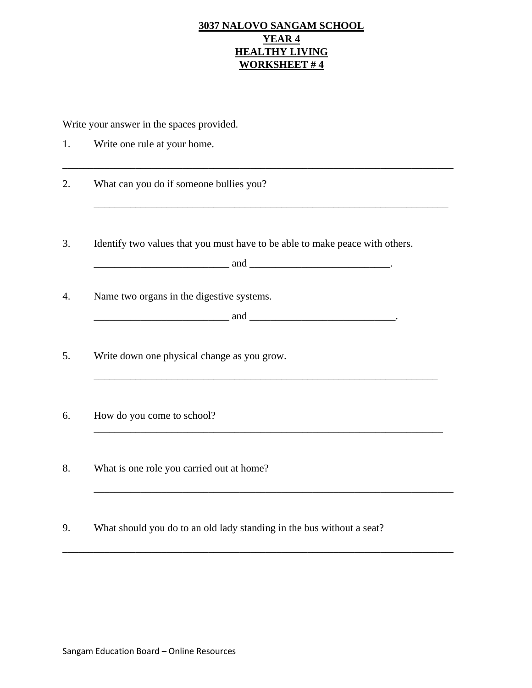## **3037 NALOVO SANGAM SCHOOL YEAR 4 HEALTHY LIVING WORKSHEET # 4**

Write your answer in the spaces provided.

| 1. | Write one rule at your home.                                                                                      |
|----|-------------------------------------------------------------------------------------------------------------------|
| 2. | What can you do if someone bullies you?                                                                           |
| 3. | Identify two values that you must have to be able to make peace with others.<br>$\qquad \qquad \text{and} \qquad$ |
| 4. | Name two organs in the digestive systems.<br>$\qquad \qquad \text{and} \qquad$                                    |
| 5. | Write down one physical change as you grow.                                                                       |
| 6. | How do you come to school?                                                                                        |
| 8. | What is one role you carried out at home?                                                                         |
| 9. | What should you do to an old lady standing in the bus without a seat?                                             |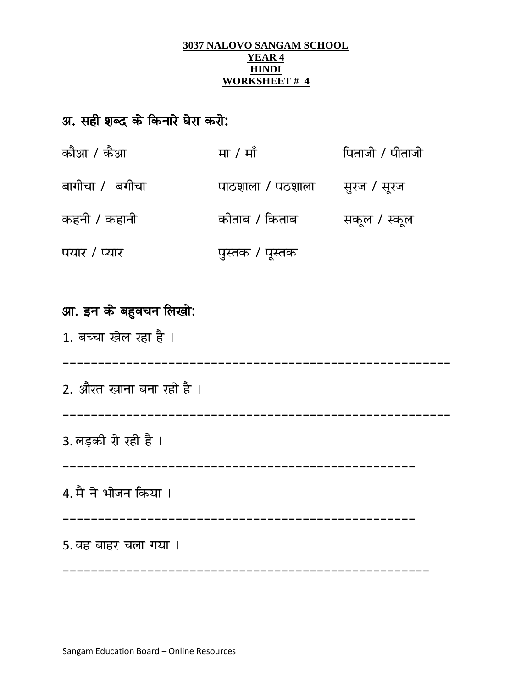#### **3037 NALOVO SANGAM SCHOOL YEAR 4 HINDI WORKSHEET # 4**

# अ. सही शब्द के किनारे घेरा करो:

| कौआ / कैआ       | मा / माँ                       | पिताजी / पीताजी |
|-----------------|--------------------------------|-----------------|
| बागीचा /  बगीचा | पाठशाला / पठशाला सुरंज / सूरंज |                 |
| कहनी / कहानी    | कीताब / किताब                  | सकूल / स्कूल    |
| पयार / प्यार    | पुस्तक / पूस्तक                |                 |

# आ. इन के बहुवचन लिखो:

1. बच्चा खेल रहा है ।

------------------------------

2. औरत खाना बना रही है।

3. लड़की रो रही है ।

# 4. मैं ने भोजन किया।

## 5. वह बाहर चला गया ।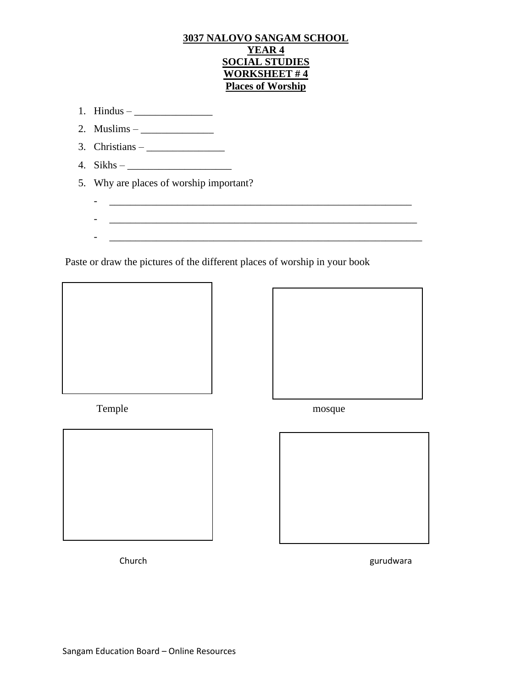### **3037 NALOVO SANGAM SCHOOL YEAR 4 SOCIAL STUDIES WORKSHEET # 4 Places of Worship**

- 1. Hindus  $\frac{1}{2}$
- 2. Muslims  $\frac{1}{2}$
- 3. Christians  $\frac{1}{\sqrt{2\pi}}$
- 4. Sikhs  $\frac{2}{\sqrt{2}}$
- 5. Why are places of worship important?
- Paste or draw the pictures of the different places of worship in your book

- \_\_\_\_\_\_\_\_\_\_\_\_\_\_\_\_\_\_\_\_\_\_\_\_\_\_\_\_\_\_\_\_\_\_\_\_\_\_\_\_\_\_\_\_\_\_\_\_\_\_\_\_\_\_\_\_\_\_

- \_\_\_\_\_\_\_\_\_\_\_\_\_\_\_\_\_\_\_\_\_\_\_\_\_\_\_\_\_\_\_\_\_\_\_\_\_\_\_\_\_\_\_\_\_\_\_\_\_\_\_\_\_\_\_\_\_\_\_

- \_\_\_\_\_\_\_\_\_\_\_\_\_\_\_\_\_\_\_\_\_\_\_\_\_\_\_\_\_\_\_\_\_\_\_\_\_\_\_\_\_\_\_\_\_\_\_\_\_\_\_\_\_\_\_\_\_\_\_\_



Temple mosque







Church gurudwara church gurudwara gurudwara gurudwara gurudwara gurudwara gurudwara gurudwara gurudwara gurudwara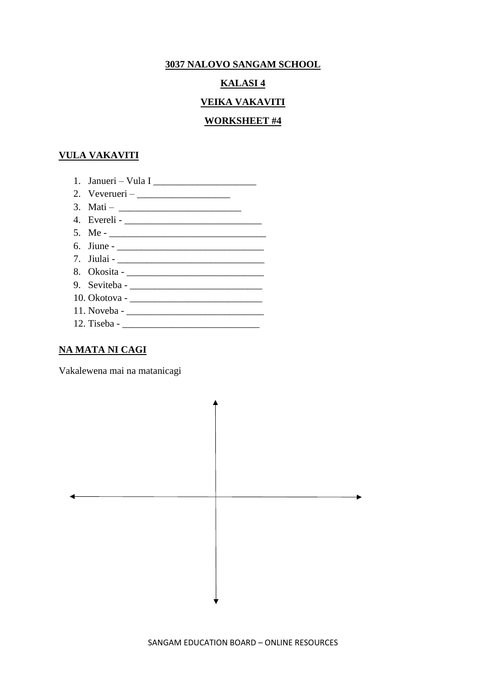#### **3037 NALOVO SANGAM SCHOOL**

#### **KALASI 4**

#### **VEIKA VAKAVITI**

#### **WORKSHEET #4**

#### **VULA VAKAVITI**

- 1. Janueri Vula I \_\_\_\_\_\_\_\_\_\_\_\_\_\_\_\_\_\_\_\_\_
- 2. Veverueri \_\_\_\_\_\_\_\_\_\_\_\_\_\_\_\_\_\_\_
- 3. Mati  $\frac{1}{2}$   $\frac{1}{2}$   $\frac{1}{2}$   $\frac{1}{2}$   $\frac{1}{2}$   $\frac{1}{2}$   $\frac{1}{2}$   $\frac{1}{2}$   $\frac{1}{2}$   $\frac{1}{2}$   $\frac{1}{2}$   $\frac{1}{2}$   $\frac{1}{2}$   $\frac{1}{2}$   $\frac{1}{2}$   $\frac{1}{2}$   $\frac{1}{2}$   $\frac{1}{2$
- 4. Evereli \_\_\_\_\_\_\_\_\_\_\_\_\_\_\_\_\_\_\_\_\_\_\_\_\_\_\_\_
- 5. Me \_\_\_\_\_\_\_\_\_\_\_\_\_\_\_\_\_\_\_\_\_\_\_\_\_\_\_\_\_\_\_\_
- 6. Jiune \_\_\_\_\_\_\_\_\_\_\_\_\_\_\_\_\_\_\_\_\_\_\_\_\_\_\_\_\_\_ 7. Jiulai - \_\_\_\_\_\_\_\_\_\_\_\_\_\_\_\_\_\_\_\_\_\_\_\_\_\_\_\_\_\_
- 8. Okosita \_\_\_\_\_\_\_\_\_\_\_\_\_\_\_\_\_\_\_\_\_\_\_\_\_\_\_\_
- 9. Seviteba \_\_\_\_\_\_\_\_\_\_\_\_\_\_\_\_\_\_\_\_\_\_\_\_\_\_\_
- 10. Okotova \_\_\_\_\_\_\_\_\_\_\_\_\_\_\_\_\_\_\_\_\_\_\_\_\_\_\_
- 11. Noveba -
- 12. Tiseba \_\_\_\_\_\_\_\_\_\_\_\_\_\_\_\_\_\_\_\_\_\_\_\_\_\_\_\_

### **NA MATA NI CAGI**

Vakalewena mai na matanicagi